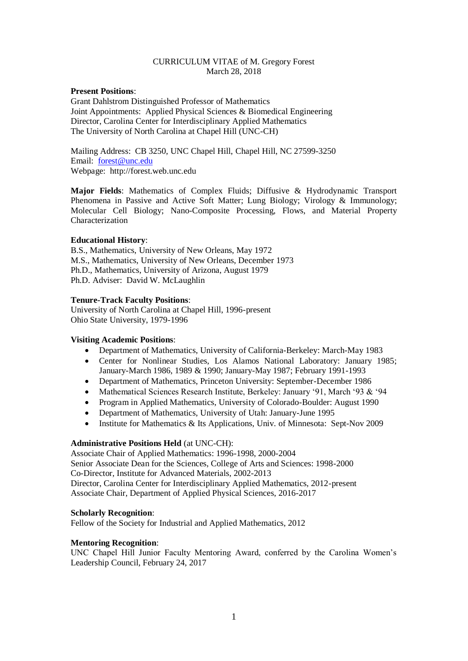## CURRICULUM VITAE of M. Gregory Forest March 28, 2018

## **Present Positions**:

Grant Dahlstrom Distinguished Professor of Mathematics Joint Appointments: Applied Physical Sciences & Biomedical Engineering Director, Carolina Center for Interdisciplinary Applied Mathematics The University of North Carolina at Chapel Hill (UNC-CH)

Mailing Address: CB 3250, UNC Chapel Hill, Chapel Hill, NC 27599-3250 Email: [forest@unc.edu](mailto:forest@unc.edu)  Webpage: http://forest.web.unc.edu

**Major Fields**: Mathematics of Complex Fluids; Diffusive & Hydrodynamic Transport Phenomena in Passive and Active Soft Matter; Lung Biology; Virology & Immunology; Molecular Cell Biology; Nano-Composite Processing, Flows, and Material Property Characterization

## **Educational History**:

B.S., Mathematics, University of New Orleans, May 1972 M.S., Mathematics, University of New Orleans, December 1973 Ph.D., Mathematics, University of Arizona, August 1979 Ph.D. Adviser: David W. McLaughlin

## **Tenure-Track Faculty Positions**:

University of North Carolina at Chapel Hill, 1996-present Ohio State University, 1979-1996

## **Visiting Academic Positions**:

- Department of Mathematics, University of California-Berkeley: March-May 1983
- Center for Nonlinear Studies, Los Alamos National Laboratory: January 1985; January-March 1986, 1989 & 1990; January-May 1987; February 1991-1993
- Department of Mathematics, Princeton University: September-December 1986
- Mathematical Sciences Research Institute, Berkeley: January '91, March '93 & '94
- Program in Applied Mathematics, University of Colorado-Boulder: August 1990
- Department of Mathematics, University of Utah: January-June 1995
- Institute for Mathematics & Its Applications, Univ. of Minnesota: Sept-Nov 2009

## **Administrative Positions Held** (at UNC-CH):

Associate Chair of Applied Mathematics: 1996-1998, 2000-2004 Senior Associate Dean for the Sciences, College of Arts and Sciences: 1998-2000 Co-Director, Institute for Advanced Materials, 2002-2013 Director, Carolina Center for Interdisciplinary Applied Mathematics, 2012-present Associate Chair, Department of Applied Physical Sciences, 2016-2017

#### **Scholarly Recognition**:

Fellow of the Society for Industrial and Applied Mathematics, 2012

## **Mentoring Recognition**:

UNC Chapel Hill Junior Faculty Mentoring Award, conferred by the Carolina Women's Leadership Council, February 24, 2017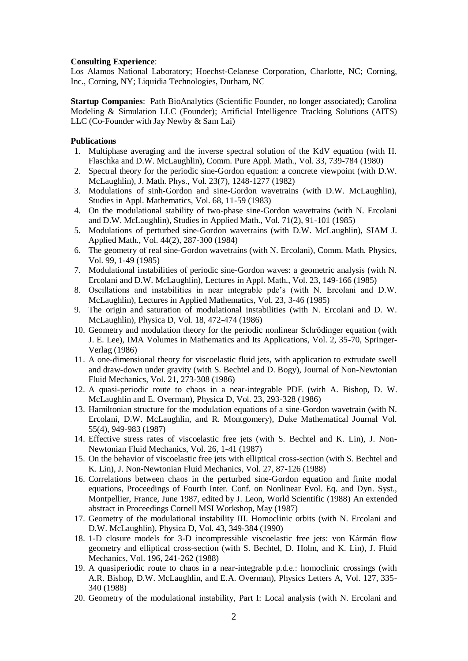#### **Consulting Experience**:

Los Alamos National Laboratory; Hoechst-Celanese Corporation, Charlotte, NC; Corning, Inc., Corning, NY; Liquidia Technologies, Durham, NC

**Startup Companies**: Path BioAnalytics (Scientific Founder, no longer associated); Carolina Modeling & Simulation LLC (Founder); Artificial Intelligence Tracking Solutions (AITS) LLC (Co-Founder with Jay Newby & Sam Lai)

## **Publications**

- 1. Multiphase averaging and the inverse spectral solution of the KdV equation (with H. Flaschka and D.W. McLaughlin), Comm. Pure Appl. Math., Vol. 33, 739-784 (1980)
- 2. Spectral theory for the periodic sine-Gordon equation: a concrete viewpoint (with D.W. McLaughlin), J. Math. Phys., Vol. 23(7), 1248-1277 (1982)
- 3. Modulations of sinh-Gordon and sine-Gordon wavetrains (with D.W. McLaughlin), Studies in Appl. Mathematics, Vol. 68, 11-59 (1983)
- 4. On the modulational stability of two-phase sine-Gordon wavetrains (with N. Ercolani and D.W. McLaughlin), Studies in Applied Math., Vol. 71(2), 91-101 (1985)
- 5. Modulations of perturbed sine-Gordon wavetrains (with D.W. McLaughlin), SIAM J. Applied Math., Vol. 44(2), 287-300 (1984)
- 6. The geometry of real sine-Gordon wavetrains (with N. Ercolani), Comm. Math. Physics, Vol. 99, 1-49 (1985)
- 7. Modulational instabilities of periodic sine-Gordon waves: a geometric analysis (with N. Ercolani and D.W. McLaughlin), Lectures in Appl. Math., Vol. 23, 149-166 (1985)
- 8. Oscillations and instabilities in near integrable pde's (with N. Ercolani and D.W. McLaughlin), Lectures in Applied Mathematics, Vol. 23, 3-46 (1985)
- 9. The origin and saturation of modulational instabilities (with N. Ercolani and D. W. McLaughlin), Physica D, Vol. 18, 472-474 (1986)
- 10. Geometry and modulation theory for the periodic nonlinear Schrödinger equation (with J. E. Lee), IMA Volumes in Mathematics and Its Applications, Vol. 2, 35-70, Springer-Verlag (1986)
- 11. A one-dimensional theory for viscoelastic fluid jets, with application to extrudate swell and draw-down under gravity (with S. Bechtel and D. Bogy), Journal of Non-Newtonian Fluid Mechanics, Vol. 21, 273-308 (1986)
- 12. A quasi-periodic route to chaos in a near-integrable PDE (with A. Bishop, D. W. McLaughlin and E. Overman), Physica D, Vol. 23, 293-328 (1986)
- 13. Hamiltonian structure for the modulation equations of a sine-Gordon wavetrain (with N. Ercolani, D.W. McLaughlin, and R. Montgomery), Duke Mathematical Journal Vol. 55(4), 949-983 (1987)
- 14. Effective stress rates of viscoelastic free jets (with S. Bechtel and K. Lin), J. Non-Newtonian Fluid Mechanics, Vol. 26, 1-41 (1987)
- 15. On the behavior of viscoelastic free jets with elliptical cross-section (with S. Bechtel and K. Lin), J. Non-Newtonian Fluid Mechanics, Vol. 27, 87-126 (1988)
- 16. Correlations between chaos in the perturbed sine-Gordon equation and finite modal equations, Proceedings of Fourth Inter. Conf. on Nonlinear Evol. Eq. and Dyn. Syst., Montpellier, France, June 1987, edited by J. Leon, World Scientific (1988) An extended abstract in Proceedings Cornell MSI Workshop, May (1987)
- 17. Geometry of the modulational instability III. Homoclinic orbits (with N. Ercolani and D.W. McLaughlin), Physica D, Vol. 43, 349-384 (1990)
- 18. 1-D closure models for 3-D incompressible viscoelastic free jets: von Kármán flow geometry and elliptical cross-section (with S. Bechtel, D. Holm, and K. Lin), J. Fluid Mechanics, Vol. 196, 241-262 (1988)
- 19. A quasiperiodic route to chaos in a near-integrable p.d.e.: homoclinic crossings (with A.R. Bishop, D.W. McLaughlin, and E.A. Overman), Physics Letters A, Vol. 127, 335- 340 (1988)
- 20. Geometry of the modulational instability, Part I: Local analysis (with N. Ercolani and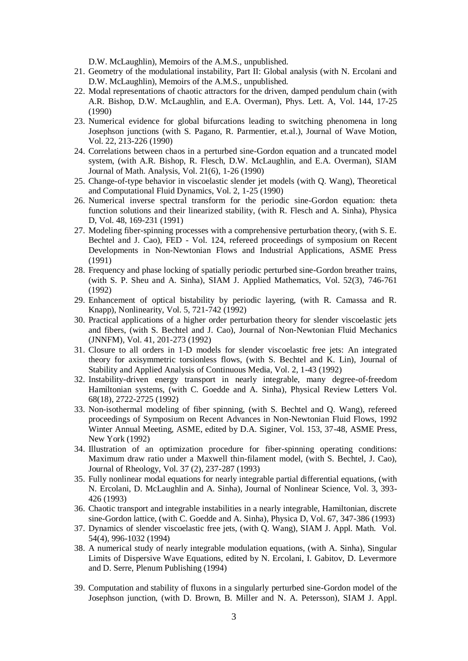D.W. McLaughlin), Memoirs of the A.M.S., unpublished.

- 21. Geometry of the modulational instability, Part II: Global analysis (with N. Ercolani and D.W. McLaughlin), Memoirs of the A.M.S., unpublished.
- 22. Modal representations of chaotic attractors for the driven, damped pendulum chain (with A.R. Bishop, D.W. McLaughlin, and E.A. Overman), Phys. Lett. A, Vol. 144, 17-25 (1990)
- 23. Numerical evidence for global bifurcations leading to switching phenomena in long Josephson junctions (with S. Pagano, R. Parmentier, et.al.), Journal of Wave Motion, Vol. 22, 213-226 (1990)
- 24. Correlations between chaos in a perturbed sine-Gordon equation and a truncated model system, (with A.R. Bishop, R. Flesch, D.W. McLaughlin, and E.A. Overman), SIAM Journal of Math. Analysis, Vol. 21(6), 1-26 (1990)
- 25. Change-of-type behavior in viscoelastic slender jet models (with Q. Wang), Theoretical and Computational Fluid Dynamics, Vol. 2, 1-25 (1990)
- 26. Numerical inverse spectral transform for the periodic sine-Gordon equation: theta function solutions and their linearized stability, (with R. Flesch and A. Sinha), Physica D, Vol. 48, 169-231 (1991)
- 27. Modeling fiber-spinning processes with a comprehensive perturbation theory, (with S. E. Bechtel and J. Cao), FED - Vol. 124, refereed proceedings of symposium on Recent Developments in Non-Newtonian Flows and Industrial Applications, ASME Press (1991)
- 28. Frequency and phase locking of spatially periodic perturbed sine-Gordon breather trains, (with S. P. Sheu and A. Sinha), SIAM J. Applied Mathematics, Vol. 52(3), 746-761 (1992)
- 29. Enhancement of optical bistability by periodic layering, (with R. Camassa and R. Knapp), Nonlinearity, Vol. 5, 721-742 (1992)
- 30. Practical applications of a higher order perturbation theory for slender viscoelastic jets and fibers, (with S. Bechtel and J. Cao), Journal of Non-Newtonian Fluid Mechanics (JNNFM), Vol. 41, 201-273 (1992)
- 31. Closure to all orders in 1-D models for slender viscoelastic free jets: An integrated theory for axisymmetric torsionless flows, (with S. Bechtel and K. Lin), Journal of Stability and Applied Analysis of Continuous Media, Vol. 2, 1-43 (1992)
- 32. Instability-driven energy transport in nearly integrable, many degree-of-freedom Hamiltonian systems, (with C. Goedde and A. Sinha), Physical Review Letters Vol. 68(18), 2722-2725 (1992)
- 33. Non-isothermal modeling of fiber spinning, (with S. Bechtel and Q. Wang), refereed proceedings of Symposium on Recent Advances in Non-Newtonian Fluid Flows, 1992 Winter Annual Meeting, ASME, edited by D.A. Siginer, Vol. 153, 37-48, ASME Press, New York (1992)
- 34. Illustration of an optimization procedure for fiber-spinning operating conditions: Maximum draw ratio under a Maxwell thin-filament model, (with S. Bechtel, J. Cao), Journal of Rheology, Vol. 37 (2), 237-287 (1993)
- 35. Fully nonlinear modal equations for nearly integrable partial differential equations, (with N. Ercolani, D. McLaughlin and A. Sinha), Journal of Nonlinear Science, Vol. 3, 393- 426 (1993)
- 36. Chaotic transport and integrable instabilities in a nearly integrable, Hamiltonian, discrete sine-Gordon lattice, (with C. Goedde and A. Sinha), Physica D, Vol. 67, 347-386 (1993)
- 37. Dynamics of slender viscoelastic free jets, (with Q. Wang), SIAM J. Appl. Math. Vol. 54(4), 996-1032 (1994)
- 38. A numerical study of nearly integrable modulation equations, (with A. Sinha), Singular Limits of Dispersive Wave Equations, edited by N. Ercolani, I. Gabitov, D. Levermore and D. Serre, Plenum Publishing (1994)
- 39. Computation and stability of fluxons in a singularly perturbed sine-Gordon model of the Josephson junction, (with D. Brown, B. Miller and N. A. Petersson), SIAM J. Appl.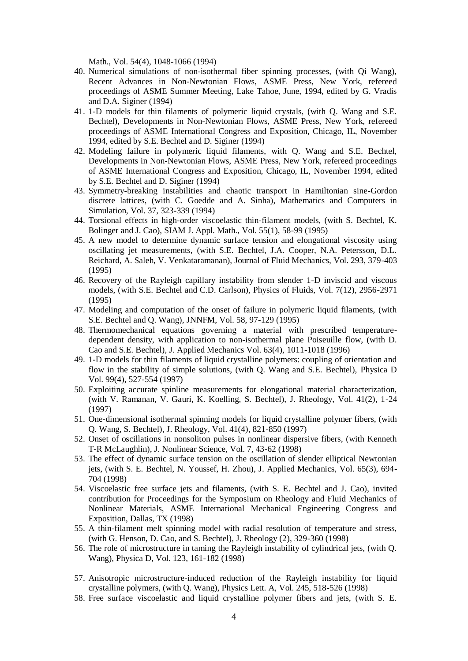Math., Vol. 54(4), 1048-1066 (1994)

- 40. Numerical simulations of non-isothermal fiber spinning processes, (with Qi Wang), Recent Advances in Non-Newtonian Flows, ASME Press, New York, refereed proceedings of ASME Summer Meeting, Lake Tahoe, June, 1994, edited by G. Vradis and D.A. Siginer (1994)
- 41. 1-D models for thin filaments of polymeric liquid crystals, (with Q. Wang and S.E. Bechtel), Developments in Non-Newtonian Flows, ASME Press, New York, refereed proceedings of ASME International Congress and Exposition, Chicago, IL, November 1994, edited by S.E. Bechtel and D. Siginer (1994)
- 42. Modeling failure in polymeric liquid filaments, with Q. Wang and S.E. Bechtel, Developments in Non-Newtonian Flows, ASME Press, New York, refereed proceedings of ASME International Congress and Exposition, Chicago, IL, November 1994, edited by S.E. Bechtel and D. Siginer (1994)
- 43. Symmetry-breaking instabilities and chaotic transport in Hamiltonian sine-Gordon discrete lattices, (with C. Goedde and A. Sinha), Mathematics and Computers in Simulation, Vol. 37, 323-339 (1994)
- 44. Torsional effects in high-order viscoelastic thin-filament models, (with S. Bechtel, K. Bolinger and J. Cao), SIAM J. Appl. Math., Vol. 55(1), 58-99 (1995)
- 45. A new model to determine dynamic surface tension and elongational viscosity using oscillating jet measurements, (with S.E. Bechtel, J.A. Cooper, N.A. Petersson, D.L. Reichard, A. Saleh, V. Venkataramanan), Journal of Fluid Mechanics, Vol. 293, 379-403 (1995)
- 46. Recovery of the Rayleigh capillary instability from slender 1-D inviscid and viscous models, (with S.E. Bechtel and C.D. Carlson), Physics of Fluids, Vol. 7(12), 2956-2971 (1995)
- 47. Modeling and computation of the onset of failure in polymeric liquid filaments, (with S.E. Bechtel and Q. Wang), JNNFM, Vol. 58, 97-129 (1995)
- 48. Thermomechanical equations governing a material with prescribed temperaturedependent density, with application to non-isothermal plane Poiseuille flow, (with D. Cao and S.E. Bechtel), J. Applied Mechanics Vol. 63(4), 1011-1018 (1996)
- 49. 1-D models for thin filaments of liquid crystalline polymers: coupling of orientation and flow in the stability of simple solutions, (with Q. Wang and S.E. Bechtel), Physica D Vol. 99(4), 527-554 (1997)
- 50. Exploiting accurate spinline measurements for elongational material characterization, (with V. Ramanan, V. Gauri, K. Koelling, S. Bechtel), J. Rheology, Vol. 41(2), 1-24 (1997)
- 51. One-dimensional isothermal spinning models for liquid crystalline polymer fibers, (with Q. Wang, S. Bechtel), J. Rheology, Vol. 41(4), 821-850 (1997)
- 52. Onset of oscillations in nonsoliton pulses in nonlinear dispersive fibers, (with Kenneth T-R McLaughlin), J. Nonlinear Science, Vol. 7, 43-62 (1998)
- 53. The effect of dynamic surface tension on the oscillation of slender elliptical Newtonian jets, (with S. E. Bechtel, N. Youssef, H. Zhou), J. Applied Mechanics, Vol. 65(3), 694- 704 (1998)
- 54. Viscoelastic free surface jets and filaments, (with S. E. Bechtel and J. Cao), invited contribution for Proceedings for the Symposium on Rheology and Fluid Mechanics of Nonlinear Materials, ASME International Mechanical Engineering Congress and Exposition, Dallas, TX (1998)
- 55. A thin-filament melt spinning model with radial resolution of temperature and stress, (with G. Henson, D. Cao, and S. Bechtel), J. Rheology (2), 329-360 (1998)
- 56. The role of microstructure in taming the Rayleigh instability of cylindrical jets, (with Q. Wang), Physica D, Vol. 123, 161-182 (1998)
- 57. Anisotropic microstructure-induced reduction of the Rayleigh instability for liquid crystalline polymers, (with Q. Wang), Physics Lett. A, Vol. 245, 518-526 (1998)
- 58. Free surface viscoelastic and liquid crystalline polymer fibers and jets, (with S. E.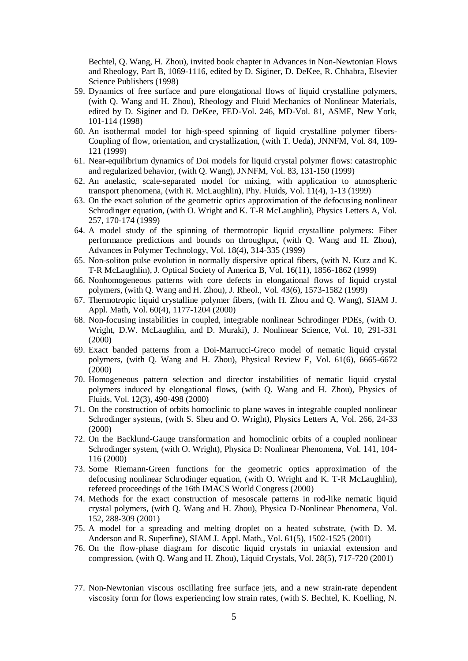Bechtel, Q. Wang, H. Zhou), invited book chapter in Advances in Non-Newtonian Flows and Rheology, Part B, 1069-1116, edited by D. Siginer, D. DeKee, R. Chhabra, Elsevier Science Publishers (1998)

- 59. Dynamics of free surface and pure elongational flows of liquid crystalline polymers, (with Q. Wang and H. Zhou), Rheology and Fluid Mechanics of Nonlinear Materials, edited by D. Siginer and D. DeKee, FED-Vol. 246, MD-Vol. 81, ASME, New York, 101-114 (1998)
- 60. An isothermal model for high-speed spinning of liquid crystalline polymer fibers-Coupling of flow, orientation, and crystallization, (with T. Ueda), JNNFM, Vol. 84, 109- 121 (1999)
- 61. Near-equilibrium dynamics of Doi models for liquid crystal polymer flows: catastrophic and regularized behavior, (with Q. Wang), JNNFM, Vol. 83, 131-150 (1999)
- 62. An anelastic, scale-separated model for mixing, with application to atmospheric transport phenomena, (with R. McLaughlin), Phy. Fluids, Vol. 11(4), 1-13 (1999)
- 63. On the exact solution of the geometric optics approximation of the defocusing nonlinear Schrodinger equation, (with O. Wright and K. T-R McLaughlin), Physics Letters A, Vol. 257, 170-174 (1999)
- 64. A model study of the spinning of thermotropic liquid crystalline polymers: Fiber performance predictions and bounds on throughput, (with Q. Wang and H. Zhou), Advances in Polymer Technology, Vol. 18(4), 314-335 (1999)
- 65. Non-soliton pulse evolution in normally dispersive optical fibers, (with N. Kutz and K. T-R McLaughlin), J. Optical Society of America B, Vol. 16(11), 1856-1862 (1999)
- 66. Nonhomogeneous patterns with core defects in elongational flows of liquid crystal polymers, (with Q. Wang and H. Zhou), J. Rheol., Vol. 43(6), 1573-1582 (1999)
- 67. Thermotropic liquid crystalline polymer fibers, (with H. Zhou and Q. Wang), SIAM J. Appl. Math, Vol. 60(4), 1177-1204 (2000)
- 68. Non-focusing instabilities in coupled, integrable nonlinear Schrodinger PDEs, (with O. Wright, D.W. McLaughlin, and D. Muraki), J. Nonlinear Science, Vol. 10, 291-331 (2000)
- 69. Exact banded patterns from a Doi-Marrucci-Greco model of nematic liquid crystal polymers, (with Q. Wang and H. Zhou), Physical Review E, Vol. 61(6), 6665-6672 (2000)
- 70. Homogeneous pattern selection and director instabilities of nematic liquid crystal polymers induced by elongational flows, (with Q. Wang and H. Zhou), Physics of Fluids, Vol. 12(3), 490-498 (2000)
- 71. On the construction of orbits homoclinic to plane waves in integrable coupled nonlinear Schrodinger systems, (with S. Sheu and O. Wright), Physics Letters A, Vol. 266, 24-33 (2000)
- 72. On the Backlund-Gauge transformation and homoclinic orbits of a coupled nonlinear Schrodinger system, (with O. Wright), Physica D: Nonlinear Phenomena, Vol. 141, 104- 116 (2000)
- 73. Some Riemann-Green functions for the geometric optics approximation of the defocusing nonlinear Schrodinger equation, (with O. Wright and K. T-R McLaughlin), refereed proceedings of the 16th IMACS World Congress (2000)
- 74. Methods for the exact construction of mesoscale patterns in rod-like nematic liquid crystal polymers, (with Q. Wang and H. Zhou), Physica D-Nonlinear Phenomena, Vol. 152, 288-309 (2001)
- 75. A model for a spreading and melting droplet on a heated substrate, (with D. M. Anderson and R. Superfine), SIAM J. Appl. Math., Vol. 61(5), 1502-1525 (2001)
- 76. On the flow-phase diagram for discotic liquid crystals in uniaxial extension and compression, (with Q. Wang and H. Zhou), Liquid Crystals, Vol. 28(5), 717-720 (2001)
- 77. Non-Newtonian viscous oscillating free surface jets, and a new strain-rate dependent viscosity form for flows experiencing low strain rates, (with S. Bechtel, K. Koelling, N.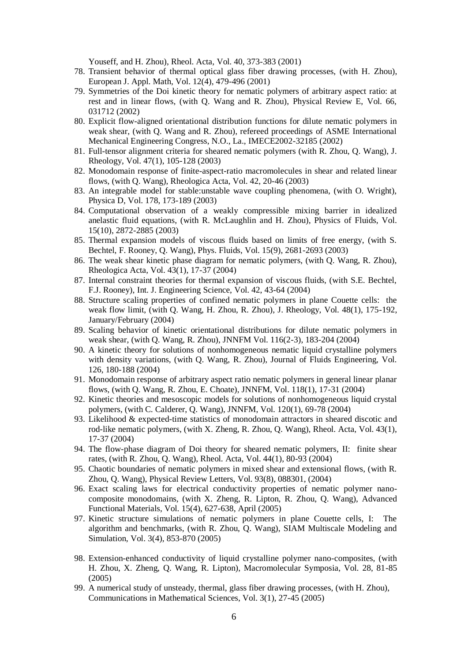Youseff, and H. Zhou), Rheol. Acta, Vol. 40, 373-383 (2001)

- 78. Transient behavior of thermal optical glass fiber drawing processes, (with H. Zhou), European J. Appl. Math, Vol. 12(4), 479-496 (2001)
- 79. Symmetries of the Doi kinetic theory for nematic polymers of arbitrary aspect ratio: at rest and in linear flows, (with Q. Wang and R. Zhou), Physical Review E, Vol. 66, 031712 (2002)
- 80. Explicit flow-aligned orientational distribution functions for dilute nematic polymers in weak shear, (with Q. Wang and R. Zhou), refereed proceedings of ASME International Mechanical Engineering Congress, N.O., La., IMECE2002-32185 (2002)
- 81. Full-tensor alignment criteria for sheared nematic polymers (with R. Zhou, Q. Wang), J. Rheology, Vol. 47(1), 105-128 (2003)
- 82. Monodomain response of finite-aspect-ratio macromolecules in shear and related linear flows, (with Q. Wang), Rheologica Acta, Vol. 42, 20-46 (2003)
- 83. An integrable model for stable:unstable wave coupling phenomena, (with O. Wright), Physica D, Vol. 178, 173-189 (2003)
- 84. Computational observation of a weakly compressible mixing barrier in idealized anelastic fluid equations, (with R. McLaughlin and H. Zhou), Physics of Fluids, Vol. 15(10), 2872-2885 (2003)
- 85. Thermal expansion models of viscous fluids based on limits of free energy, (with S. Bechtel, F. Rooney, Q. Wang), Phys. Fluids, Vol. 15(9), 2681-2693 (2003)
- 86. The weak shear kinetic phase diagram for nematic polymers, (with Q. Wang, R. Zhou), Rheologica Acta, Vol. 43(1), 17-37 (2004)
- 87. Internal constraint theories for thermal expansion of viscous fluids, (with S.E. Bechtel, F.J. Rooney), Int. J. Engineering Science, Vol. 42, 43-64 (2004)
- 88. Structure scaling properties of confined nematic polymers in plane Couette cells: the weak flow limit, (with Q. Wang, H. Zhou, R. Zhou), J. Rheology, Vol. 48(1), 175-192, January/February (2004)
- 89. Scaling behavior of kinetic orientational distributions for dilute nematic polymers in weak shear, (with Q. Wang, R. Zhou), JNNFM Vol. 116(2-3), 183-204 (2004)
- 90. A kinetic theory for solutions of nonhomogeneous nematic liquid crystalline polymers with density variations, (with Q. Wang, R. Zhou), Journal of Fluids Engineering, Vol. 126, 180-188 (2004)
- 91. Monodomain response of arbitrary aspect ratio nematic polymers in general linear planar flows, (with Q. Wang, R. Zhou, E. Choate), JNNFM, Vol. 118(1), 17-31 (2004)
- 92. Kinetic theories and mesoscopic models for solutions of nonhomogeneous liquid crystal polymers, (with C. Calderer, Q. Wang), JNNFM, Vol. 120(1), 69-78 (2004)
- 93. Likelihood & expected-time statistics of monodomain attractors in sheared discotic and rod-like nematic polymers, (with X. Zheng, R. Zhou, Q. Wang), Rheol. Acta, Vol. 43(1), 17-37 (2004)
- 94. The flow-phase diagram of Doi theory for sheared nematic polymers, II: finite shear rates, (with R. Zhou, Q. Wang), Rheol. Acta, Vol. 44(1), 80-93 (2004)
- 95. Chaotic boundaries of nematic polymers in mixed shear and extensional flows, (with R. Zhou, Q. Wang), Physical Review Letters, Vol. 93(8), 088301, (2004)
- 96. Exact scaling laws for electrical conductivity properties of nematic polymer nanocomposite monodomains, (with X. Zheng, R. Lipton, R. Zhou, Q. Wang), Advanced Functional Materials, Vol. 15(4), 627-638, April (2005)
- 97. Kinetic structure simulations of nematic polymers in plane Couette cells, I: The algorithm and benchmarks, (with R. Zhou, Q. Wang), SIAM Multiscale Modeling and Simulation, Vol. 3(4), 853-870 (2005)
- 98. Extension-enhanced conductivity of liquid crystalline polymer nano-composites, (with H. Zhou, X. Zheng, Q. Wang, R. Lipton), Macromolecular Symposia, Vol. 28, 81-85 (2005)
- 99. A numerical study of unsteady, thermal, glass fiber drawing processes, (with H. Zhou), Communications in Mathematical Sciences, Vol. 3(1), 27-45 (2005)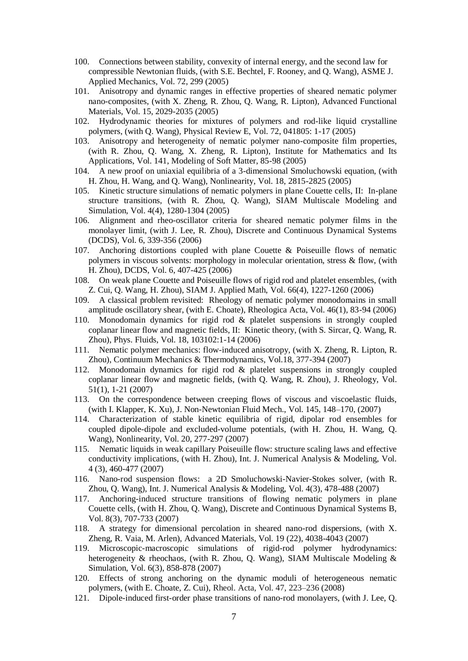- 100. Connections between stability, convexity of internal energy, and the second law for compressible Newtonian fluids, (with S.E. Bechtel, F. Rooney, and Q. Wang), ASME J. Applied Mechanics, Vol. 72, 299 (2005)
- 101. Anisotropy and dynamic ranges in effective properties of sheared nematic polymer nano-composites, (with X. Zheng, R. Zhou, Q. Wang, R. Lipton), Advanced Functional Materials, Vol. 15, 2029-2035 (2005)
- 102. Hydrodynamic theories for mixtures of polymers and rod-like liquid crystalline polymers, (with Q. Wang), Physical Review E, Vol. 72, 041805: 1-17 (2005)
- 103. Anisotropy and heterogeneity of nematic polymer nano-composite film properties, (with R. Zhou, Q. Wang, X. Zheng, R. Lipton), Institute for Mathematics and Its Applications, Vol. 141, Modeling of Soft Matter, 85-98 (2005)
- 104. A new proof on uniaxial equilibria of a 3-dimensional Smoluchowski equation, (with H. Zhou, H. Wang, and Q. Wang), Nonlinearity, Vol. 18, 2815-2825 (2005)
- 105. Kinetic structure simulations of nematic polymers in plane Couette cells, II: In-plane structure transitions, (with R. Zhou, Q. Wang), SIAM Multiscale Modeling and Simulation, Vol. 4(4), 1280-1304 (2005)
- 106. Alignment and rheo-oscillator criteria for sheared nematic polymer films in the monolayer limit, (with J. Lee, R. Zhou), Discrete and Continuous Dynamical Systems (DCDS), Vol. 6, 339-356 (2006)
- 107. Anchoring distortions coupled with plane Couette & Poiseuille flows of nematic polymers in viscous solvents: morphology in molecular orientation, stress & flow, (with H. Zhou), DCDS, Vol. 6, 407-425 (2006)
- 108. On weak plane Couette and Poiseuille flows of rigid rod and platelet ensembles, (with Z. Cui, Q. Wang, H. Zhou), SIAM J. Applied Math, Vol. 66(4), 1227-1260 (2006)
- 109. A classical problem revisited: Rheology of nematic polymer monodomains in small amplitude oscillatory shear, (with E. Choate), Rheologica Acta, Vol. 46(1), 83-94 (2006)
- 110. Monodomain dynamics for rigid rod & platelet suspensions in strongly coupled coplanar linear flow and magnetic fields, II: Kinetic theory, (with S. Sircar, Q. Wang, R. Zhou), Phys. Fluids, Vol. 18, 103102:1-14 (2006)
- 111. Nematic polymer mechanics: flow-induced anisotropy, (with X. Zheng, R. Lipton, R. Zhou), Continuum Mechanics & Thermodynamics, Vol.18, 377-394 (2007)
- 112. Monodomain dynamics for rigid rod & platelet suspensions in strongly coupled coplanar linear flow and magnetic fields, (with Q. Wang, R. Zhou), J. Rheology, Vol. 51(1), 1-21 (2007)
- 113. On the correspondence between creeping flows of viscous and viscoelastic fluids, (with I. Klapper, K. Xu), J. Non-Newtonian Fluid Mech., Vol. 145, 148–170, (2007)
- 114. Characterization of stable kinetic equilibria of rigid, dipolar rod ensembles for coupled dipole-dipole and excluded-volume potentials, (with H. Zhou, H. Wang, Q. Wang), Nonlinearity, Vol. 20, 277-297 (2007)
- 115. Nematic liquids in weak capillary Poiseuille flow: structure scaling laws and effective conductivity implications, (with H. Zhou), Int. J. Numerical Analysis & Modeling, Vol. 4 (3), 460-477 (2007)
- 116. Nano-rod suspension flows: a 2D Smoluchowski-Navier-Stokes solver, (with R. Zhou, Q. Wang), Int. J. Numerical Analysis & Modeling, Vol. 4(3), 478-488 (2007)
- 117. Anchoring-induced structure transitions of flowing nematic polymers in plane Couette cells, (with H. Zhou, Q. Wang), Discrete and Continuous Dynamical Systems B, Vol. 8(3), 707-733 (2007)
- 118. A strategy for dimensional percolation in sheared nano-rod dispersions, (with X. Zheng, R. Vaia, M. Arlen), Advanced Materials, Vol. 19 (22), 4038-4043 (2007)
- 119. Microscopic-macroscopic simulations of rigid-rod polymer hydrodynamics: heterogeneity & rheochaos, (with R. Zhou, Q. Wang), SIAM Multiscale Modeling & Simulation, Vol. 6(3), 858-878 (2007)
- 120. Effects of strong anchoring on the dynamic moduli of heterogeneous nematic polymers, (with E. Choate, Z. Cui), Rheol. Acta, Vol. 47, 223–236 (2008)
- 121. Dipole-induced first-order phase transitions of nano-rod monolayers, (with J. Lee, Q.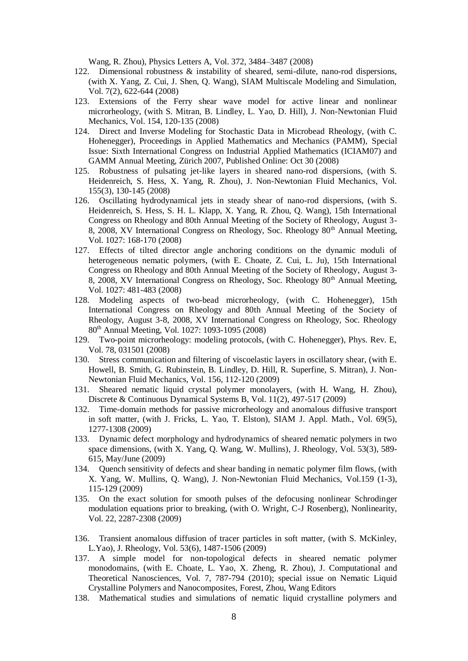Wang, R. Zhou), Physics Letters A, Vol. 372, 3484–3487 (2008)

- 122. Dimensional robustness & instability of sheared, semi-dilute, nano-rod dispersions, (with X. Yang, Z. Cui, J. Shen, Q. Wang), SIAM Multiscale Modeling and Simulation, Vol. 7(2), 622-644 (2008)
- 123. Extensions of the Ferry shear wave model for active linear and nonlinear microrheology, (with S. Mitran, B. Lindley, L. Yao, D. Hill), J. Non-Newtonian Fluid Mechanics, Vol. 154, 120-135 (2008)
- 124. Direct and Inverse Modeling for Stochastic Data in Microbead Rheology, (with C. Hohenegger), Proceedings in Applied Mathematics and Mechanics (PAMM), Special Issue: Sixth International Congress on Industrial Applied Mathematics (ICIAM07) and GAMM Annual Meeting, Zürich 2007, Published Online: Oct 30 (2008)
- 125. Robustness of pulsating jet-like layers in sheared nano-rod dispersions, (with S. Heidenreich, S. Hess, X. Yang, R. Zhou), J. Non-Newtonian Fluid Mechanics, Vol. 155(3), 130-145 (2008)
- 126. Oscillating hydrodynamical jets in steady shear of nano-rod dispersions, (with S. Heidenreich, S. Hess, S. H. L. Klapp, X. Yang, R. Zhou, Q. Wang), 15th International Congress on Rheology and 80th Annual Meeting of the Society of Rheology, August 3- 8, 2008, XV International Congress on Rheology, Soc. Rheology 80<sup>th</sup> Annual Meeting, Vol. 1027: 168-170 (2008)
- 127. Effects of tilted director angle anchoring conditions on the dynamic moduli of heterogeneous nematic polymers, (with E. Choate, Z. Cui, L. Ju), 15th International Congress on Rheology and 80th Annual Meeting of the Society of Rheology, August 3- 8, 2008, XV International Congress on Rheology, Soc. Rheology  $80<sup>th</sup>$  Annual Meeting, Vol. 1027: 481-483 (2008)
- 128. Modeling aspects of two-bead microrheology, (with C. Hohenegger), 15th International Congress on Rheology and 80th Annual Meeting of the Society of Rheology, August 3-8, 2008, XV International Congress on Rheology, Soc. Rheology 80th Annual Meeting, Vol. 1027: 1093-1095 (2008)
- 129. Two-point microrheology: modeling protocols, (with C. Hohenegger), Phys. Rev. E, Vol. 78, 031501 (2008)
- 130. Stress communication and filtering of viscoelastic layers in oscillatory shear, (with E. Howell, B. Smith, G. Rubinstein, B. Lindley, D. Hill, R. Superfine, S. Mitran), J. Non-Newtonian Fluid Mechanics, Vol. 156, 112-120 (2009)
- 131. Sheared nematic liquid crystal polymer monolayers, (with H. Wang, H. Zhou), Discrete & Continuous Dynamical Systems B, Vol. 11(2), 497-517 (2009)
- 132. Time-domain methods for passive microrheology and anomalous diffusive transport in soft matter, (with J. Fricks, L. Yao, T. Elston), SIAM J. Appl. Math., Vol. 69(5), 1277-1308 (2009)
- 133. Dynamic defect morphology and hydrodynamics of sheared nematic polymers in two space dimensions, (with X. Yang, Q. Wang, W. Mullins), J. Rheology, Vol. 53(3), 589- 615, May/June (2009)
- 134. Quench sensitivity of defects and shear banding in nematic polymer film flows, (with X. Yang, W. Mullins, Q. Wang), J. Non-Newtonian Fluid Mechanics, Vol.159 (1-3), 115-129 (2009)
- 135. On the exact solution for smooth pulses of the defocusing nonlinear Schrodinger modulation equations prior to breaking, (with O. Wright, C-J Rosenberg), Nonlinearity, Vol. 22, 2287-2308 (2009)
- 136. Transient anomalous diffusion of tracer particles in soft matter, (with S. McKinley, L.Yao), J. Rheology, Vol. 53(6), 1487-1506 (2009)
- 137. A simple model for non-topological defects in sheared nematic polymer monodomains, (with E. Choate, L. Yao, X. Zheng, R. Zhou), J. Computational and Theoretical Nanosciences, Vol. 7, 787-794 (2010); special issue on Nematic Liquid Crystalline Polymers and Nanocomposites, Forest, Zhou, Wang Editors
- 138. Mathematical studies and simulations of nematic liquid crystalline polymers and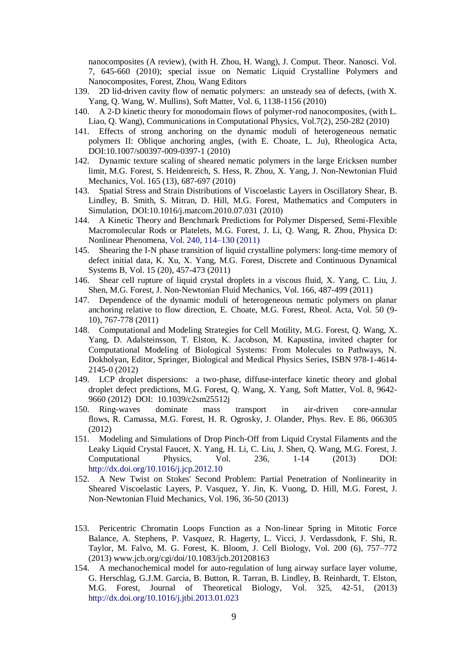nanocomposites (A review), (with H. Zhou, H. Wang), J. Comput. Theor. Nanosci. Vol. 7, 645-660 (2010); special issue on Nematic Liquid Crystalline Polymers and Nanocomposites, Forest, Zhou, Wang Editors

- 139. 2D lid-driven cavity flow of nematic polymers: an unsteady sea of defects, (with X. Yang, Q. Wang, W. Mullins), Soft Matter, Vol. 6, 1138-1156 (2010)
- 140. A 2-D kinetic theory for monodomain flows of polymer-rod nanocomposites, (with L. Liao, Q. Wang), Communications in Computational Physics, Vol.7(2), 250-282 (2010)
- 141. Effects of strong anchoring on the dynamic moduli of heterogeneous nematic polymers II: Oblique anchoring angles, (with E. Choate, L. Ju), Rheologica Acta, DOI:10.1007/s00397-009-0397-1 (2010)
- 142. Dynamic texture scaling of sheared nematic polymers in the large Ericksen number limit, M.G. Forest, S. Heidenreich, S. Hess, R. Zhou, X. Yang, J. Non-Newtonian Fluid Mechanics, Vol. 165 (13), 687-697 (2010)
- 143. Spatial Stress and Strain Distributions of Viscoelastic Layers in Oscillatory Shear, B. Lindley, B. Smith, S. Mitran, D. Hill, M.G. Forest, Mathematics and Computers in Simulation, [DOI:10.1016/j.matcom.2010.07.031](http://dx.doi.org/10.1016/j.matcom.2010.07.031) (2010)
- 144. A Kinetic Theory and Benchmark Predictions for Polymer Dispersed, Semi-Flexible Macromolecular Rods or Platelets, M.G. Forest, J. Li, Q. Wang, R. Zhou, Physica D: Nonlinear Phenomena, Vol. 240, 114–130 (2011)
- 145. Shearing the I-N phase transition of liquid crystalline polymers: long-time memory of defect initial data, K. Xu, X. Yang, M.G. Forest, Discrete and Continuous Dynamical Systems B, Vol. 15 (20), 457-473 (2011)
- 146. Shear cell rupture of liquid crystal droplets in a viscous fluid, X. Yang, C. Liu, J. Shen, M.G. Forest, J. Non-Newtonian Fluid Mechanics, Vol. 166, 487-499 (2011)
- 147. Dependence of the dynamic moduli of heterogeneous nematic polymers on planar anchoring relative to flow direction, E. Choate, M.G. Forest, Rheol. Acta, [Vol. 50 \(9-](http://www.springerlink.com.libproxy.lib.unc.edu/content/0035-4511/50/9-10/) [10\)](http://www.springerlink.com.libproxy.lib.unc.edu/content/0035-4511/50/9-10/), 767-778 (2011)
- 148. Computational and Modeling Strategies for Cell Motility, M.G. Forest, Q. Wang, X. Yang, D. Adalsteinsson, T. Elston, K. Jacobson, M. Kapustina, invited chapter for Computational Modeling of Biological Systems: From Molecules to Pathways, N. Dokholyan, Editor, Springer, Biological and Medical Physics Series, ISBN 978-1-4614- 2145-0 (2012)
- 149. LCP droplet dispersions: a two-phase, diffuse-interface kinetic theory and global droplet defect predictions, M.G. Forest, Q. Wang, X. Yang, Soft Matter, Vol. 8, 9642- 9660 (2012) DOI: 10.1039/c2sm25512j
- 150. Ring-waves dominate mass transport in air-driven core-annular flows, R. Camassa, M.G. Forest, H. R. Ogrosky, J. Olander, Phys. Rev. E 86, 066305 (2012)
- 151. Modeling and Simulations of Drop Pinch-Off from Liquid Crystal Filaments and the Leaky Liquid Crystal Faucet, X. Yang, H. Li, C. Liu, J. Shen, Q. Wang, M.G. Forest, J. Computational Physics, Vol. 236, 1-14 (2013) DOI: http://dx.doi.org/10.1016/j.jcp.2012.10
- 152. A New Twist on Stokes' Second Problem: Partial Penetration of Nonlinearity in Sheared Viscoelastic Layers, P. Vasquez, Y. Jin, K. Vuong, D. Hill, M.G. Forest, J. Non-Newtonian Fluid Mechanics, Vol. 196, 36-50 (2013)
- 153. Pericentric Chromatin Loops Function as a Non-linear Spring in Mitotic Force Balance, A. Stephens, P. Vasquez, R. Hagerty, L. Vicci, J. Verdassdonk, F. Shi, R. Taylor, M. Falvo, M. G. Forest, K. Bloom, J. Cell Biology, Vol. 200 (6), 757–772 (2013) www.jcb.org/cgi/doi/10.1083/jcb.201208163
- 154. A mechanochemical model for auto-regulation of lung airway surface layer volume, G. Herschlag, G.J.M. Garcia, B. Button, R. Tarran, B. Lindley, B. Reinhardt, T. Elston, M.G. Forest, Journal of Theoretical Biology, Vol. 325, 42-51, (2013) http://dx.doi.org/10.1016/j.jtbi.2013.01.023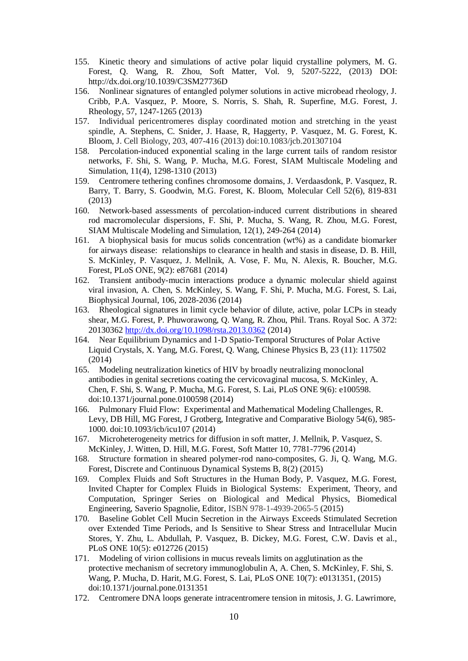- 155. Kinetic theory and simulations of active polar liquid crystalline polymers, M. G. Forest, Q. Wang, R. Zhou, Soft Matter, Vol. 9, 5207-5222, (2013) DOI: http://dx.doi.org/10.1039/C3SM27736D
- 156. Nonlinear signatures of entangled polymer solutions in active microbead rheology, J. Cribb, P.A. Vasquez, P. Moore, S. Norris, S. Shah, R. Superfine, M.G. Forest, J. Rheology, 57, 1247-1265 (2013)
- 157. Individual pericentromeres display coordinated motion and stretching in the yeast spindle, A. Stephens, C. Snider, J. Haase, R, Haggerty, P. Vasquez, M. G. Forest, K. Bloom, J. Cell Biology, 203, 407-416 (2013) doi:10.1083/jcb.201307104
- 158. Percolation-induced exponential scaling in the large current tails of random resistor networks, F. Shi, S. Wang, P. Mucha, M.G. Forest, SIAM Multiscale Modeling and Simulation, 11(4), 1298-1310 (2013)
- 159. Centromere tethering confines chromosome domains, J. Verdaasdonk, P. Vasquez, R. Barry, T. Barry, S. Goodwin, M.G. Forest, K. Bloom, Molecular Cell 52(6), 819-831 (2013)
- 160. Network-based assessments of percolation-induced current distributions in sheared rod macromolecular dispersions, F. Shi, P. Mucha, S. Wang, R. Zhou, M.G. Forest, SIAM Multiscale Modeling and Simulation, 12(1), 249-264 (2014)
- 161. A biophysical basis for mucus solids concentration (wt%) as a candidate biomarker for airways disease: relationships to clearance in health and stasis in disease, D. B. Hill, S. McKinley, P. Vasquez, J. Mellnik, A. Vose, F. Mu, N. Alexis, R. Boucher, M.G. Forest, PLoS ONE, 9(2): e87681 (2014)
- 162. Transient antibody-mucin interactions produce a dynamic molecular shield against viral invasion, A. Chen, S. McKinley, S. Wang, F. Shi, P. Mucha, M.G. Forest, S. Lai, Biophysical Journal, 106, 2028-2036 (2014)
- 163. Rheological signatures in limit cycle behavior of dilute, active, polar LCPs in steady shear, M.G. Forest, P. Phuworawong, Q. Wang, R. Zhou, Phil. Trans. Royal Soc. A 372: 20130362<http://dx.doi.org/10.1098/rsta.2013.0362> (2014)
- 164. Near Equilibrium Dynamics and 1-D Spatio-Temporal Structures of Polar Active Liquid Crystals, X. Yang, M.G. Forest, Q. Wang, Chinese Physics B, 23 (11): 117502 (2014)
- 165. Modeling neutralization kinetics of HIV by broadly neutralizing monoclonal antibodies in genital secretions coating the cervicovaginal mucosa, S. McKinley, A. Chen, F. Shi, S. Wang, P. Mucha, M.G. Forest, S. Lai, PLoS ONE 9(6): e100598. doi:10.1371/journal.pone.0100598 (2014)
- 166. Pulmonary Fluid Flow: Experimental and Mathematical Modeling Challenges, R. Levy, DB Hill, MG Forest, J Grotberg, Integrative and Comparative Biology 54(6), 985- 1000. doi:10.1093/icb/icu107 (2014)
- 167. Microheterogeneity metrics for diffusion in soft matter, J. Mellnik, P. Vasquez, S. McKinley, J. Witten, D. Hill, M.G. Forest, Soft Matter 10, 7781-7796 (2014)
- 168. Structure formation in sheared polymer-rod nano-composites, G. Ji, Q. Wang, M.G. Forest, Discrete and Continuous Dynamical Systems B, 8(2) (2015)
- 169. Complex Fluids and Soft Structures in the Human Body, P. Vasquez, M.G. Forest, Invited Chapter for Complex Fluids in Biological Systems: Experiment, Theory, and Computation, Springer Series on Biological and Medical Physics, Biomedical Engineering, Saverio Spagnolie, Editor, ISBN 978-1-4939-2065-5 (2015)
- 170. Baseline Goblet Cell Mucin Secretion in the Airways Exceeds Stimulated Secretion over Extended Time Periods, and Is Sensitive to Shear Stress and Intracellular Mucin Stores, Y. Zhu, L. Abdullah, P. Vasquez, B. Dickey, M.G. Forest, C.W. Davis et al., PLoS ONE 10(5): e012726 (2015)
- 171. Modeling of virion collisions in mucus reveals limits on agglutination as the protective mechanism of secretory immunoglobulin A, A. Chen, S. McKinley, F. Shi, S. Wang, P. Mucha, D. Harit, M.G. Forest, S. Lai, PLoS ONE 10(7): e0131351, (2015) doi:10.1371/journal.pone.0131351
- 172. Centromere DNA loops generate intracentromere tension in mitosis, J. G. Lawrimore,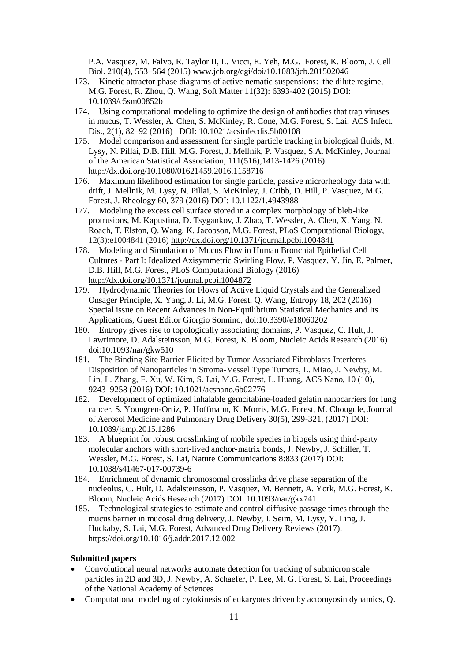P.A. Vasquez, M. Falvo, R. Taylor II, L. Vicci, E. Yeh, M.G. Forest, K. Bloom, J. Cell Biol. 210(4), 553–564 (2015) [www.jcb.org/cgi/doi/10.1083/jcb.201502046](http://www.jcb.org/cgi/doi/10.1083/jcb.201502046)

- 173. Kinetic attractor phase diagrams of active nematic suspensions: the dilute regime, M.G. Forest, R. Zhou, Q. Wang, Soft Matter 11(32): 6393-402 (2015) DOI: 10.1039/c5sm00852b
- 174. Using computational modeling to optimize the design of antibodies that trap viruses in mucus, T. Wessler, A. Chen, S. McKinley, R. Cone, M.G. Forest, S. Lai, ACS Infect. Dis., 2(1), 82–92 (2016) DOI: 10.1021/acsinfecdis.5b00108
- 175. Model comparison and assessment for single particle tracking in biological fluids, M. Lysy, N. Pillai, D.B. Hill, M.G. Forest, J. Mellnik, P. Vasquez, S.A. McKinley, Journal of the American Statistical Association, 111(516),1413-1426 (2016) <http://dx.doi.org/10.1080/01621459.2016.1158716>
- 176. Maximum likelihood estimation for single particle, passive microrheology data with drift, J. Mellnik, M. Lysy, N. Pillai, S. McKinley, J. Cribb, D. Hill, P. Vasquez, M.G. Forest, J. Rheology 60, 379 (2016) DOI: 10.1122/1.4943988
- 177. Modeling the excess cell surface stored in a complex morphology of bleb-like protrusions, M. Kapustina, D. Tsygankov, J. Zhao, T. Wessler, A. Chen, X. Yang, N. Roach, T. Elston, Q. Wang, K. Jacobson, M.G. Forest, PLoS Computational Biology, 12(3):e1004841 (2016) <http://dx.doi.org/10.1371/journal.pcbi.1004841>
- 178. Modeling and Simulation of Mucus Flow in Human Bronchial Epithelial Cell Cultures - Part I: Idealized Axisymmetric Swirling Flow, P. Vasquez, Y. Jin, E. Palmer, D.B. Hill, M.G. Forest, PLoS Computational Biology (2016) <http://dx.doi.org/10.1371/journal.pcbi.1004872>
- 179. Hydrodynamic Theories for Flows of Active Liquid Crystals and the Generalized Onsager Principle, X. Yang, J. Li, M.G. Forest, Q. Wang, Entropy 18, 202 (2016) Special issue on Recent Advances in Non-Equilibrium Statistical Mechanics and Its Applications, Guest Editor Giorgio Sonnino, doi:10.3390/e18060202
- 180. Entropy gives rise to topologically associating domains, P. Vasquez, C. Hult, J. Lawrimore, D. Adalsteinsson, M.G. Forest, K. Bloom, Nucleic Acids Research (2016) doi:10.1093/nar/gkw510
- 181. The Binding Site Barrier Elicited by Tumor Associated Fibroblasts Interferes Disposition of Nanoparticles in Stroma-Vessel Type Tumors, L. Miao, J. Newby, M. Lin, L. Zhang, F. Xu, W. Kim, S. Lai, M.G. Forest, L. Huang, ACS Nano, 10 (10), 9243–9258 (2016) DOI: 10.1021/acsnano.6b02776
- 182. Development of optimized inhalable gemcitabine-loaded gelatin nanocarriers for lung cancer, S. Youngren-Ortiz, P. Hoffmann, K. Morris, M.G. Forest, M. Chougule, Journal of Aerosol Medicine and Pulmonary Drug Delivery 30(5), 299-321, (2017) DOI: 10.1089/jamp.2015.1286
- 183. A blueprint for robust crosslinking of mobile species in biogels using third-party molecular anchors with short-lived anchor-matrix bonds, J. Newby, J. Schiller, T. Wessler, M.G. Forest, S. Lai, Nature Communications 8:833 (2017) DOI: 10.1038/s41467-017-00739-6
- 184. Enrichment of dynamic chromosomal crosslinks drive phase separation of the nucleolus, C. Hult, D. Adalsteinsson, P. Vasquez, M. Bennett, A. York, M.G. Forest, K. Bloom, Nucleic Acids Research (2017) DOI: 10.1093/nar/gkx741
- 185. Technological strategies to estimate and control diffusive passage times through the mucus barrier in mucosal drug delivery, J. Newby, I. Seim, M. Lysy, Y. Ling, J. Huckaby, S. Lai, M.G. Forest, Advanced Drug Delivery Reviews (2017), <https://doi.org/10.1016/j.addr.2017.12.002>

## **Submitted papers**

- Convolutional neural networks automate detection for tracking of submicron scale particles in 2D and 3D, J. Newby, A. Schaefer, P. Lee, M. G. Forest, S. Lai, Proceedings of the National Academy of Sciences
- Computational modeling of cytokinesis of eukaryotes driven by actomyosin dynamics, Q.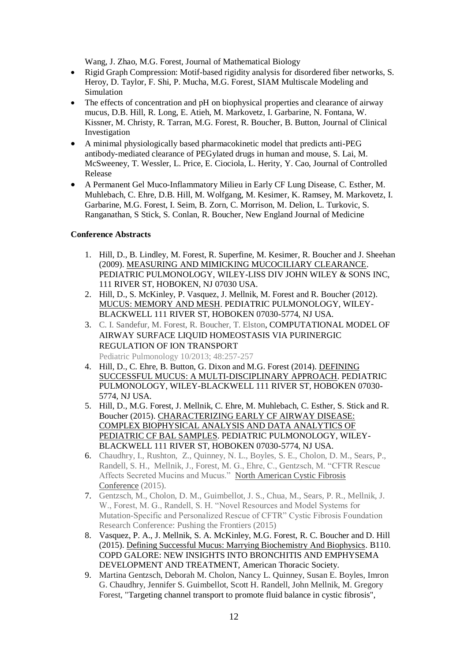Wang, J. Zhao, M.G. Forest, Journal of Mathematical Biology

- Rigid Graph Compression: Motif-based rigidity analysis for disordered fiber networks, S. Heroy, D. Taylor, F. Shi, P. Mucha, M.G. Forest, SIAM Multiscale Modeling and Simulation
- The effects of concentration and pH on biophysical properties and clearance of airway mucus, D.B. Hill, R. Long, E. Atieh, M. Markovetz, I. Garbarine, N. Fontana, W. Kissner, M. Christy, R. Tarran, M.G. Forest, R. Boucher, B. Button, Journal of Clinical Investigation
- A minimal physiologically based pharmacokinetic model that predicts anti-PEG antibody-mediated clearance of PEGylated drugs in human and mouse, S. Lai, M. McSweeney, T. Wessler, L. Price, E. Ciociola, L. Herity, Y. Cao, Journal of Controlled Release
- A Permanent Gel Muco-Inflammatory Milieu in Early CF Lung Disease, C. Esther, M. Muhlebach, C. Ehre, D.B. Hill, M. Wolfgang, M. Kesimer, K. Ramsey, M. Markovetz, I. Garbarine, M.G. Forest, I. Seim, B. Zorn, C. Morrison, M. Delion, L. Turkovic, S. Ranganathan, S Stick, S. Conlan, R. Boucher, New England Journal of Medicine

## **Conference Abstracts**

- 1. Hill, D., B. Lindley, M. Forest, R. Superfine, M. Kesimer, R. Boucher and J. Sheehan (2009). MEASURING AND MIMICKING MUCOCILIARY CLEARANCE. PEDIATRIC PULMONOLOGY, WILEY-LISS DIV JOHN WILEY & SONS INC, 111 RIVER ST, HOBOKEN, NJ 07030 USA.
- 2. Hill, D., S. McKinley, P. Vasquez, J. Mellnik, M. Forest and R. Boucher (2012). MUCUS: MEMORY AND MESH. PEDIATRIC PULMONOLOGY, WILEY-BLACKWELL 111 RIVER ST, HOBOKEN 07030-5774, NJ USA.
- 3. C. I. Sandefur, M. Forest, R. Boucher, T. Elston, COMPUTATIONAL MODEL OF AIRWAY SURFACE LIQUID HOMEOSTASIS VIA PURINERGIC REGULATION OF ION TRANSPORT Pediatric Pulmonology 10/2013; 48:257-257
- 4. Hill, D., C. Ehre, B. Button, G. Dixon and M.G. Forest (2014). DEFINING SUCCESSFUL MUCUS: A MULTI-DISCIPLINARY APPROACH. PEDIATRIC PULMONOLOGY, WILEY-BLACKWELL 111 RIVER ST, HOBOKEN 07030- 5774, NJ USA.
- 5. Hill, D., M.G. Forest, J. Mellnik, C. Ehre, M. Muhlebach, C. Esther, S. Stick and R. Boucher (2015). CHARACTERIZING EARLY CF AIRWAY DISEASE: COMPLEX BIOPHYSICAL ANALYSIS AND DATA ANALYTICS OF PEDIATRIC CF BAL SAMPLES. PEDIATRIC PULMONOLOGY, WILEY-BLACKWELL 111 RIVER ST, HOBOKEN 07030-5774, NJ USA.
- 6. Chaudhry, I., Rushton, Z., Quinney, N. L., Boyles, S. E., Cholon, D. M., Sears, P., Randell, S. H., Mellnik, J., Forest, M. G., Ehre, C., Gentzsch, M. "CFTR Rescue Affects Secreted Mucins and Mucus." North [American](https://www.nacfconference.org/) Cystic Fibrosis [Conference](https://www.nacfconference.org/) (2015).
- 7. Gentzsch, M., Cholon, D. M., Guimbellot, J. S., Chua, M., Sears, P. R., Mellnik, J. W., Forest, M. G., Randell, S. H. "Novel Resources and Model Systems for Mutation-Specific and Personalized Rescue of CFTR" Cystic Fibrosis Foundation Research Conference: Pushing the Frontiers (2015)
- 8. Vasquez, P. A., J. Mellnik, S. A. McKinley, M.G. Forest, R. C. Boucher and D. Hill (2015). Defining Successful Mucus: Marrying Biochemistry And Biophysics. B110. COPD GALORE: NEW INSIGHTS INTO BRONCHITIS AND EMPHYSEMA DEVELOPMENT AND TREATMENT, American Thoracic Society.
- 9. Martina Gentzsch, Deborah M. Cholon, Nancy L. Quinney, Susan E. Boyles, Imron G. Chaudhry, Jennifer S. Guimbellot, Scott H. Randell, John Mellnik, M. Gregory Forest, "Targeting channel transport to promote fluid balance in cystic fibrosis",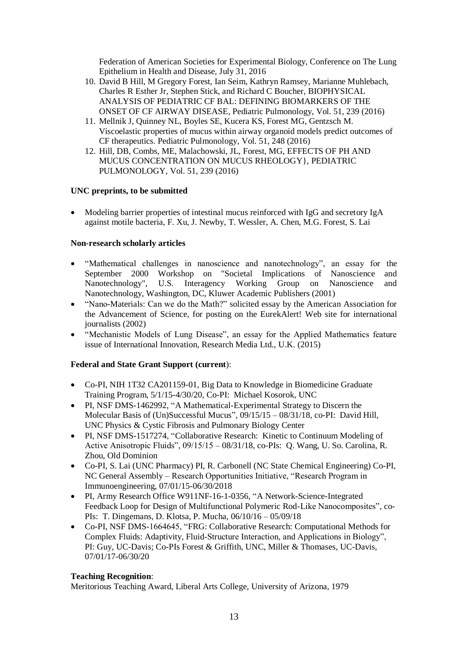Federation of American Societies for Experimental Biology, Conference on The Lung Epithelium in Health and Disease, July 31, 2016

- 10. David B Hill, M Gregory Forest, Ian Seim, Kathryn Ramsey, Marianne Muhlebach, Charles R Esther Jr, Stephen Stick, and Richard C Boucher, BIOPHYSICAL ANALYSIS OF PEDIATRIC CF BAL: DEFINING BIOMARKERS OF THE ONSET OF CF AIRWAY DISEASE, Pediatric Pulmonology, Vol. 51, 239 (2016)
- 11. Mellnik J, Quinney NL, Boyles SE, Kucera KS, Forest MG, Gentzsch M. Viscoelastic properties of mucus within airway organoid models predict outcomes of CF therapeutics. Pediatric Pulmonology, Vol. 51, 248 (2016)
- 12. Hill, DB, Combs, ME, Malachowski, JL, Forest, MG, EFFECTS OF PH AND MUCUS CONCENTRATION ON MUCUS RHEOLOGY}, PEDIATRIC PULMONOLOGY, Vol. 51, 239 (2016)

## **UNC preprints, to be submitted**

• Modeling barrier properties of intestinal mucus reinforced with IgG and secretory IgA against motile bacteria, F. Xu, J. Newby, T. Wessler, A. Chen, M.G. Forest, S. Lai

## **Non-research scholarly articles**

- "Mathematical challenges in nanoscience and nanotechnology", an essay for the September 2000 Workshop on "Societal Implications of Nanoscience and Nanotechnology", U.S. Interagency Working Group on Nanoscience and Nanotechnology, Washington, DC, Kluwer Academic Publishers (2001)
- "Nano-Materials: Can we do the Math?" solicited essay by the American Association for the Advancement of Science, for posting on the EurekAlert! Web site for international journalists (2002)
- "Mechanistic Models of Lung Disease", an essay for the Applied Mathematics feature issue of International Innovation, Research Media Ltd., U.K. (2015)

## **Federal and State Grant Support (current**):

- Co-PI, NIH 1T32 CA201159-01, Big Data to Knowledge in Biomedicine Graduate Training Program, 5/1/15-4/30/20, Co-PI: Michael Kosorok, UNC
- PI, NSF DMS-1462992, "A Mathematical-Experimental Strategy to Discern the Molecular Basis of (Un)Successful Mucus", 09/15/15 – 08/31/18, co-PI: David Hill, UNC Physics & Cystic Fibrosis and Pulmonary Biology Center
- PI, NSF DMS-1517274, "Collaborative Research: Kinetic to Continuum Modeling of Active Anisotropic Fluids", 09/15/15 – 08/31/18, co-PIs: Q. Wang, U. So. Carolina, R. Zhou, Old Dominion
- Co-PI, S. Lai (UNC Pharmacy) PI, R. Carbonell (NC State Chemical Engineering) Co-PI, NC General Assembly – Research Opportunities Initiative, "Research Program in Immunoengineering, 07/01/15-06/30/2018
- PI, Army Research Office W911NF-16-1-0356, "A Network-Science-Integrated Feedback Loop for Design of Multifunctional Polymeric Rod-Like Nanocomposites", co-PIs: T. Dingemans, D. Klotsa, P. Mucha, 06/10/16 – 05/09/18
- Co-PI, NSF DMS-1664645, "FRG: Collaborative Research: Computational Methods for Complex Fluids: Adaptivity, Fluid-Structure Interaction, and Applications in Biology", PI: Guy, UC-Davis; Co-PIs Forest & Griffith, UNC, Miller & Thomases, UC-Davis, 07/01/17-06/30/20

## **Teaching Recognition**:

Meritorious Teaching Award, Liberal Arts College, University of Arizona, 1979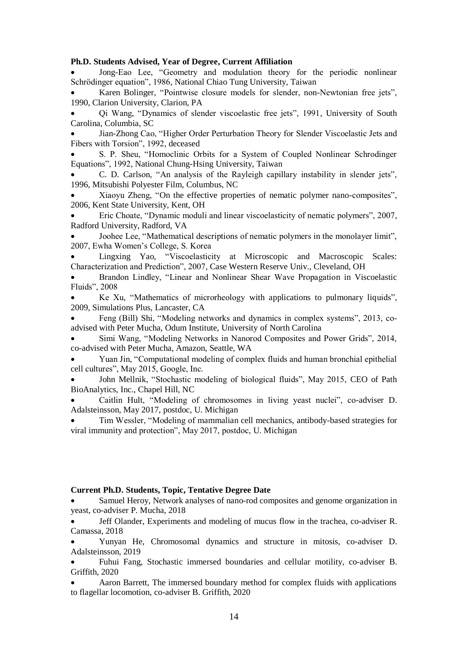#### **Ph.D. Students Advised, Year of Degree, Current Affiliation**

• Jong-Eao Lee, "Geometry and modulation theory for the periodic nonlinear Schrödinger equation", 1986, National Chiao Tung University, Taiwan

Karen Bolinger, "Pointwise closure models for slender, non-Newtonian free jets", 1990, Clarion University, Clarion, PA

• Qi Wang, "Dynamics of slender viscoelastic free jets", 1991, University of South Carolina, Columbia, SC

• Jian-Zhong Cao, "Higher Order Perturbation Theory for Slender Viscoelastic Jets and Fibers with Torsion", 1992, deceased

• S. P. Sheu, "Homoclinic Orbits for a System of Coupled Nonlinear Schrodinger Equations", 1992, National Chung-Hsing University, Taiwan

• C. D. Carlson, "An analysis of the Rayleigh capillary instability in slender jets", 1996, Mitsubishi Polyester Film, Columbus, NC

• Xiaoyu Zheng, "On the effective properties of nematic polymer nano-composites", 2006, Kent State University, Kent, OH

• Eric Choate, "Dynamic moduli and linear viscoelasticity of nematic polymers", 2007, Radford University, Radford, VA

• Joohee Lee, "Mathematical descriptions of nematic polymers in the monolayer limit", 2007, Ewha Women's College, S. Korea

• Lingxing Yao, "Viscoelasticity at Microscopic and Macroscopic Scales: Characterization and Prediction", 2007, Case Western Reserve Univ., Cleveland, OH

• Brandon Lindley, "Linear and Nonlinear Shear Wave Propagation in Viscoelastic Fluids", 2008

• Ke Xu, "Mathematics of microrheology with applications to pulmonary liquids", 2009, Simulations Plus, Lancaster, CA

• Feng (Bill) Shi, "Modeling networks and dynamics in complex systems", 2013, coadvised with Peter Mucha, Odum Institute, University of North Carolina

• Simi Wang, "Modeling Networks in Nanorod Composites and Power Grids", 2014, co-advised with Peter Mucha, Amazon, Seattle, WA

• Yuan Jin, "Computational modeling of complex fluids and human bronchial epithelial cell cultures", May 2015, Google, Inc.

• John Mellnik, "Stochastic modeling of biological fluids", May 2015, CEO of Path BioAnalytics, Inc., Chapel Hill, NC

• Caitlin Hult, "Modeling of chromosomes in living yeast nuclei", co-adviser D. Adalsteinsson, May 2017, postdoc, U. Michigan

• Tim Wessler, "Modeling of mammalian cell mechanics, antibody-based strategies for viral immunity and protection", May 2017, postdoc, U. Michigan

#### **Current Ph.D. Students, Topic, Tentative Degree Date**

• Samuel Heroy, Network analyses of nano-rod composites and genome organization in yeast, co-adviser P. Mucha, 2018

• Jeff Olander, Experiments and modeling of mucus flow in the trachea, co-adviser R. Camassa, 2018

• Yunyan He, Chromosomal dynamics and structure in mitosis, co-adviser D. Adalsteinsson, 2019

• Fuhui Fang, Stochastic immersed boundaries and cellular motility, co-adviser B. Griffith, 2020

• Aaron Barrett, The immersed boundary method for complex fluids with applications to flagellar locomotion, co-adviser B. Griffith, 2020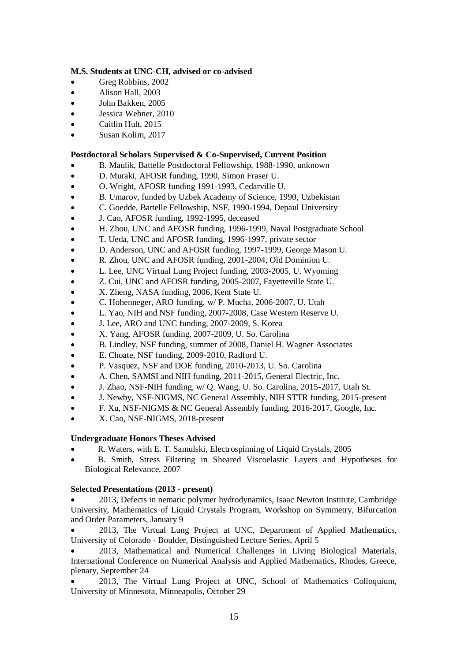## **M.S. Students at UNC-CH, advised or co-advised**

- Greg Robbins, 2002
- Alison Hall, 2003
- John Bakken, 2005
- Jessica Wehner, 2010
- Caitlin Hult, 2015
- Susan Kolim, 2017

# **Postdoctoral Scholars Supervised & Co-Supervised, Current Position**

- B. Maulik, Battelle Postdoctoral Fellowship, 1988-1990, unknown
- D. Muraki, AFOSR funding, 1990, Simon Fraser U.
- O. Wright, AFOSR funding 1991-1993, Cedarville U.
- B. Umarov, funded by Uzbek Academy of Science, 1990, Uzbekistan
- C. Goedde, Battelle Fellowship, NSF, 1990-1994, Depaul University
- J. Cao, AFOSR funding, 1992-1995, deceased
- H. Zhou, UNC and AFOSR funding, 1996-1999, Naval Postgraduate School
- T. Ueda, UNC and AFOSR funding, 1996-1997, private sector
- D. Anderson, UNC and AFOSR funding, 1997-1999, George Mason U.
- R. Zhou, UNC and AFOSR funding, 2001-2004, Old Dominion U.
- L. Lee, UNC Virtual Lung Project funding, 2003-2005, U. Wyoming
- Z. Cui, UNC and AFOSR funding, 2005-2007, Fayetteville State U.
- X. Zheng, NASA funding, 2006, Kent State U.
- C. Hohenneger, ARO funding, w/ P. Mucha, 2006-2007, U. Utah
- L. Yao, NIH and NSF funding, 2007-2008, Case Western Reserve U.
- J. Lee, ARO and UNC funding, 2007-2009, S. Korea
- X. Yang, AFOSR funding, 2007-2009, U. So. Carolina
- B. Lindley, NSF funding, summer of 2008, Daniel H. Wagner Associates
- E. Choate, NSF funding, 2009-2010, Radford U.
- P. Vasquez, NSF and DOE funding, 2010-2013, U. So. Carolina
- A. Chen, SAMSI and NIH funding, 2011-2015, General Electric, Inc.
- J. Zhao, NSF-NIH funding, w/ Q. Wang, U. So. Carolina, 2015-2017, Utah St.
- J. Newby, NSF-NIGMS, NC General Assembly, NIH STTR funding, 2015-present
- F. Xu, NSF-NIGMS & NC General Assembly funding, 2016-2017, Google, Inc.
- X. Cao, NSF-NIGMS, 2018-present

# **Undergraduate Honors Theses Advised**

- R. Waters, with E. T. Samulski, Electrospinning of Liquid Crystals, 2005
- B. Smith, Stress Filtering in Sheared Viscoelastic Layers and Hypotheses for Biological Relevance, 2007

# **Selected Presentations (2013 - present)**

• 2013, Defects in nematic polymer hydrodynamics, Isaac Newton Institute, Cambridge University, Mathematics of Liquid Crystals Program, Workshop on Symmetry, Bifurcation and Order Parameters, January 9

• 2013, The Virtual Lung Project at UNC, Department of Applied Mathematics, University of Colorado - Boulder, Distinguished Lecture Series, April 5

• 2013, Mathematical and Numerical Challenges in Living Biological Materials, International Conference on Numerical Analysis and Applied Mathematics, Rhodes, Greece, plenary, September 24

• 2013, The Virtual Lung Project at UNC, School of Mathematics Colloquium, University of Minnesota, Minneapolis, October 29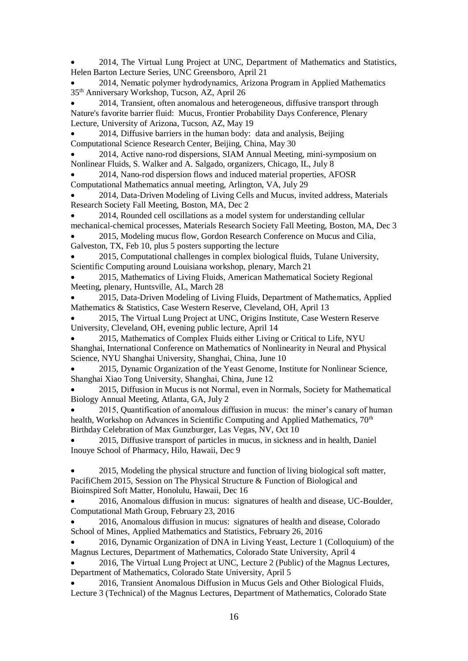• 2014, The Virtual Lung Project at UNC, Department of Mathematics and Statistics, Helen Barton Lecture Series, UNC Greensboro, April 21

• 2014, Nematic polymer hydrodynamics, Arizona Program in Applied Mathematics 35th Anniversary Workshop, Tucson, AZ, April 26

• 2014, Transient, often anomalous and heterogeneous, diffusive transport through Nature's favorite barrier fluid: Mucus, Frontier Probability Days Conference, Plenary Lecture, University of Arizona, Tucson, AZ, May 19

• 2014, Diffusive barriers in the human body: data and analysis, Beijing Computational Science Research Center, Beijing, China, May 30

• 2014, Active nano-rod dispersions, SIAM Annual Meeting, mini-symposium on Nonlinear Fluids, S. Walker and A. Salgado, organizers, Chicago, IL, July 8

• 2014, Nano-rod dispersion flows and induced material properties, AFOSR Computational Mathematics annual meeting, Arlington, VA, July 29

• 2014, Data-Driven Modeling of Living Cells and Mucus, invited address, Materials Research Society Fall Meeting, Boston, MA, Dec 2

• 2014, Rounded cell oscillations as a model system for understanding cellular mechanical-chemical processes, Materials Research Society Fall Meeting, Boston, MA, Dec 3

• 2015, Modeling mucus flow, Gordon Research Conference on Mucus and Cilia, Galveston, TX, Feb 10, plus 5 posters supporting the lecture

• 2015, Computational challenges in complex biological fluids, Tulane University, Scientific Computing around Louisiana workshop, plenary, March 21

• 2015, Mathematics of Living Fluids, American Mathematical Society Regional Meeting, plenary, Huntsville, AL, March 28

• 2015, Data-Driven Modeling of Living Fluids, Department of Mathematics, Applied Mathematics & Statistics, Case Western Reserve, Cleveland, OH, April 13

• 2015, The Virtual Lung Project at UNC, Origins Institute, Case Western Reserve University, Cleveland, OH, evening public lecture, April 14

• 2015, Mathematics of Complex Fluids either Living or Critical to Life, NYU Shanghai, International Conference on Mathematics of Nonlinearity in Neural and Physical Science, NYU Shanghai University, Shanghai, China, June 10

• 2015, Dynamic Organization of the Yeast Genome, Institute for Nonlinear Science, Shanghai Xiao Tong University, Shanghai, China, June 12

• 2015, Diffusion in Mucus is not Normal, even in Normals, Society for Mathematical Biology Annual Meeting, Atlanta, GA, July 2

• 2015, Quantification of anomalous diffusion in mucus: the miner's canary of human health, Workshop on Advances in Scientific Computing and Applied Mathematics,  $70<sup>th</sup>$ Birthday Celebration of Max Gunzburger, Las Vegas, NV, Oct 10

• 2015, Diffusive transport of particles in mucus, in sickness and in health, Daniel Inouye School of Pharmacy, Hilo, Hawaii, Dec 9

• 2015, Modeling the physical structure and function of living biological soft matter, PacifiChem 2015, Session on The Physical Structure & Function of Biological and Bioinspired Soft Matter, Honolulu, Hawaii, Dec 16

• 2016, Anomalous diffusion in mucus: signatures of health and disease, UC-Boulder, Computational Math Group, February 23, 2016

• 2016, Anomalous diffusion in mucus: signatures of health and disease, Colorado School of Mines, Applied Mathematics and Statistics, February 26, 2016

• 2016, Dynamic Organization of DNA in Living Yeast, Lecture 1 (Colloquium) of the Magnus Lectures, Department of Mathematics, Colorado State University, April 4

• 2016, The Virtual Lung Project at UNC, Lecture 2 (Public) of the Magnus Lectures, Department of Mathematics, Colorado State University, April 5

• 2016, Transient Anomalous Diffusion in Mucus Gels and Other Biological Fluids, Lecture 3 (Technical) of the Magnus Lectures, Department of Mathematics, Colorado State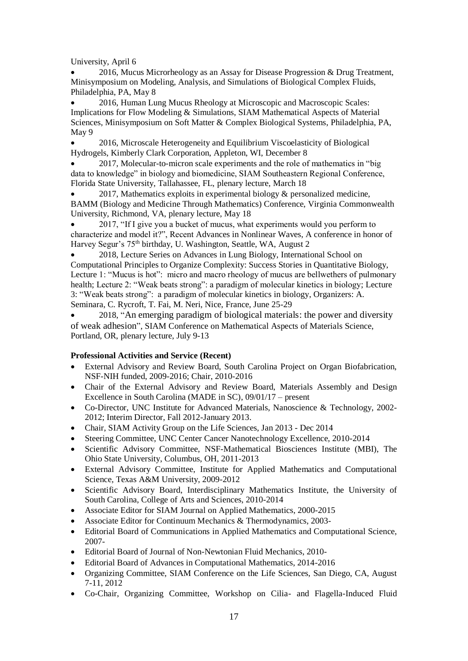University, April 6

• 2016, Mucus Microrheology as an Assay for Disease Progression & Drug Treatment, Minisymposium on Modeling, Analysis, and Simulations of Biological Complex Fluids, Philadelphia, PA, May 8

• 2016, Human Lung Mucus Rheology at Microscopic and Macroscopic Scales: Implications for Flow Modeling & Simulations, SIAM Mathematical Aspects of Material Sciences, Minisymposium on Soft Matter & Complex Biological Systems, Philadelphia, PA, May 9

• 2016, Microscale Heterogeneity and Equilibrium Viscoelasticity of Biological Hydrogels, Kimberly Clark Corporation, Appleton, WI, December 8

• 2017, Molecular-to-micron scale experiments and the role of mathematics in "big data to knowledge" in biology and biomedicine, SIAM Southeastern Regional Conference, Florida State University, Tallahassee, FL, plenary lecture, March 18

2017, Mathematics exploits in experimental biology  $\&$  personalized medicine, BAMM (Biology and Medicine Through Mathematics) Conference, Virginia Commonwealth University, Richmond, VA, plenary lecture, May 18

• 2017, "If I give you a bucket of mucus, what experiments would you perform to characterize and model it?", Recent Advances in Nonlinear Waves, A conference in honor of Harvey Segur's 75<sup>th</sup> birthday, U. Washington, Seattle, WA, August 2

• 2018, Lecture Series on Advances in Lung Biology, International School on Computational Principles to Organize Complexity: Success Stories in Quantitative Biology, Lecture 1: "Mucus is hot": micro and macro rheology of mucus are bellwethers of pulmonary health; Lecture 2: "Weak beats strong": a paradigm of molecular kinetics in biology; Lecture 3: "Weak beats strong": a paradigm of molecular kinetics in biology, Organizers: A. Seminara, C. Rycroft, T. Fai, M. Neri, Nice, France, June 25-29

• 2018, "An emerging paradigm of biological materials: the power and diversity of weak adhesion", SIAM Conference on Mathematical Aspects of Materials Science, Portland, OR, plenary lecture, July 9-13

# **Professional Activities and Service (Recent)**

- External Advisory and Review Board, South Carolina Project on Organ Biofabrication, NSF-NIH funded, 2009-2016; Chair, 2010-2016
- Chair of the External Advisory and Review Board, Materials Assembly and Design Excellence in South Carolina (MADE in SC), 09/01/17 – present
- Co-Director, UNC Institute for Advanced Materials, Nanoscience & Technology, 2002- 2012; Interim Director, Fall 2012-January 2013.
- Chair, SIAM Activity Group on the Life Sciences, Jan 2013 Dec 2014
- Steering Committee, UNC Center Cancer Nanotechnology Excellence, 2010-2014
- Scientific Advisory Committee, NSF-Mathematical Biosciences Institute (MBI), The Ohio State University, Columbus, OH, 2011-2013
- External Advisory Committee, Institute for Applied Mathematics and Computational Science, Texas A&M University, 2009-2012
- Scientific Advisory Board, Interdisciplinary Mathematics Institute, the University of South Carolina, College of Arts and Sciences, 2010-2014
- Associate Editor for SIAM Journal on Applied Mathematics, 2000-2015
- Associate Editor for Continuum Mechanics & Thermodynamics, 2003-
- Editorial Board of Communications in Applied Mathematics and Computational Science, 2007-
- Editorial Board of Journal of Non-Newtonian Fluid Mechanics, 2010-
- Editorial Board of Advances in Computational Mathematics, 2014-2016
- Organizing Committee, SIAM Conference on the Life Sciences, San Diego, CA, August 7-11, 2012
- Co-Chair, Organizing Committee, Workshop on Cilia- and Flagella-Induced Fluid